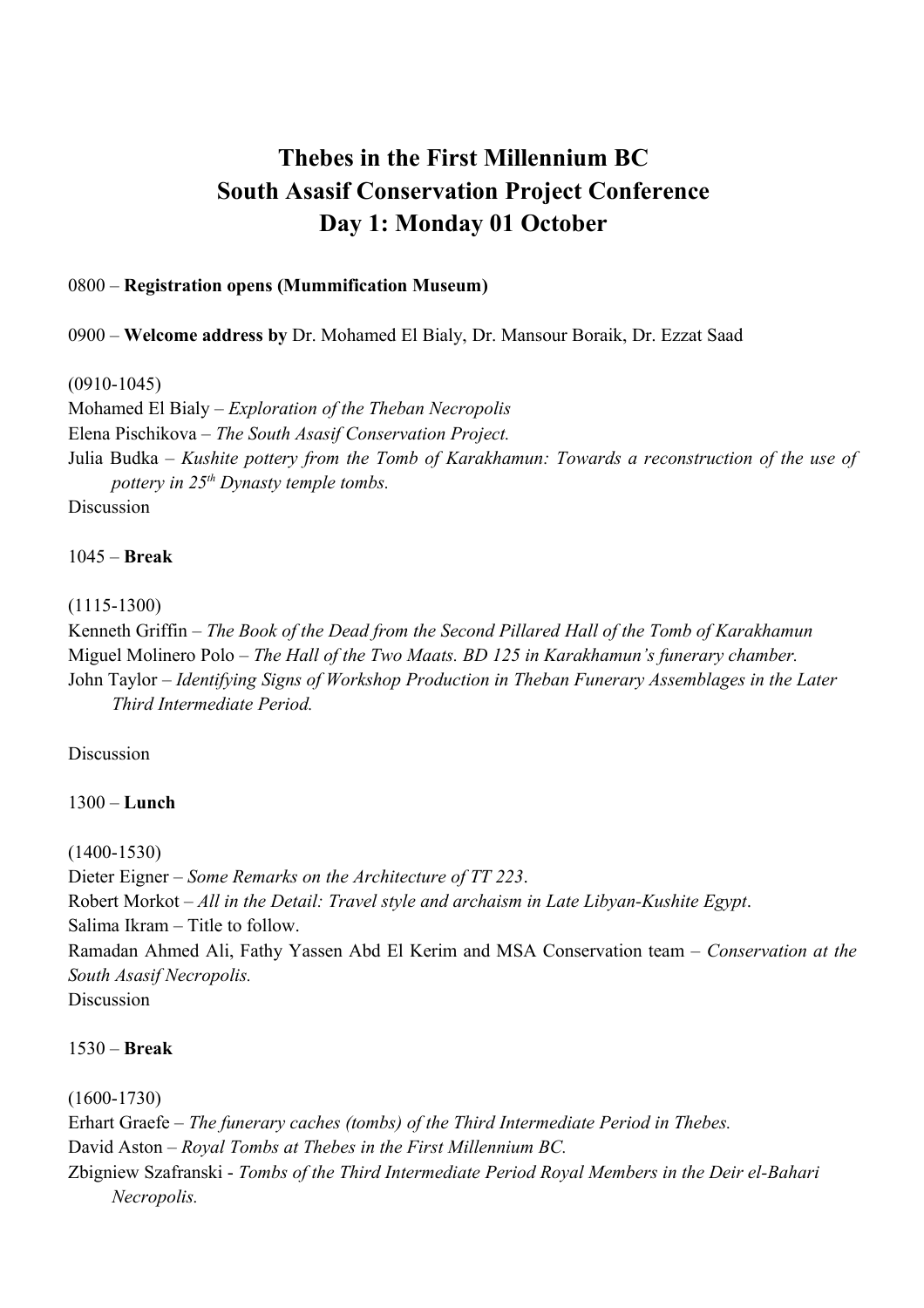# **Thebes in the First Millennium BC South Asasif Conservation Project Conference Day 1: Monday 01 October**

## 0800 – **Registration opens (Mummification Museum)**

0900 – **Welcome address by** Dr. Mohamed El Bialy, Dr. Mansour Boraik, Dr. Ezzat Saad

(0910-1045)

Mohamed El Bialy – *Exploration of the Theban Necropolis* Elena Pischikova – *The South Asasif Conservation Project.*  Julia Budka – *Kushite pottery from the Tomb of Karakhamun: Towards a reconstruction of the use of pottery in 25th Dynasty temple tombs.* Discussion

1045 – **Break**

(1115-1300)

Kenneth Griffin – *The Book of the Dead from the Second Pillared Hall of the Tomb of Karakhamun* Miguel Molinero Polo – *The Hall of the Two Maats. BD 125 in Karakhamun's funerary chamber.* John Taylor – *Identifying Signs of Workshop Production in Theban Funerary Assemblages in the Later Third Intermediate Period.*

Discussion

1300 – **Lunch**

(1400-1530)

Dieter Eigner – *Some Remarks on the Architecture of TT 223*. Robert Morkot – *All in the Detail: Travel style and archaism in Late Libyan-Kushite Egypt*. Salima Ikram – Title to follow. Ramadan Ahmed Ali, Fathy Yassen Abd El Kerim and MSA Conservation team – *Conservation at the South Asasif Necropolis.* **Discussion** 

1530 – **Break**

(1600-1730)

Erhart Graefe – *The funerary caches (tombs) of the Third Intermediate Period in Thebes.* David Aston – *Royal Tombs at Thebes in the First Millennium BC.*

Zbigniew Szafranski - *Tombs of the Third Intermediate Period Royal Members in the Deir el-Bahari Necropolis.*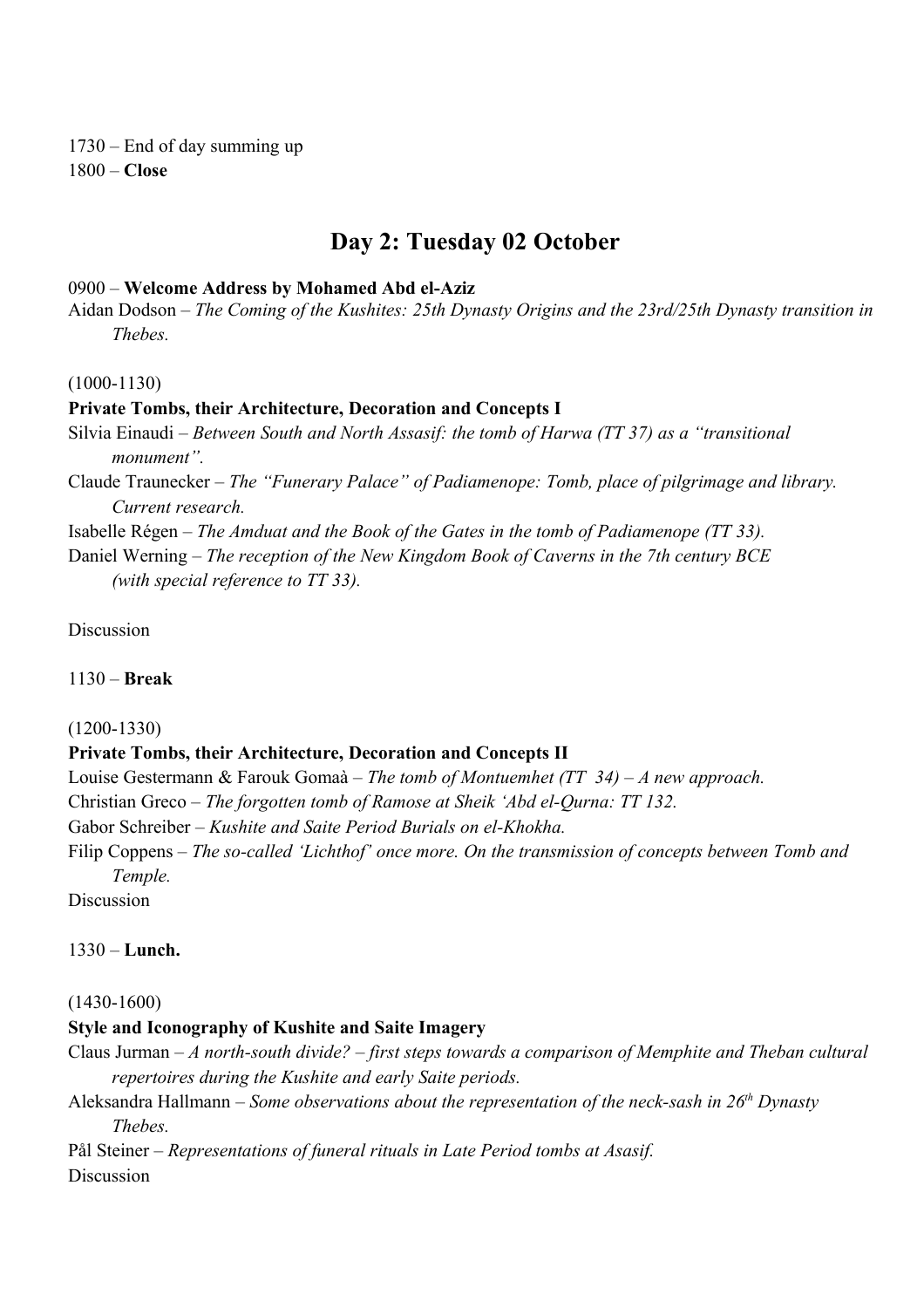1730 – End of day summing up 1800 – **Close**

## **Day 2: Tuesday 02 October**

#### 0900 – **Welcome Address by Mohamed Abd el-Aziz**

Aidan Dodson – *The Coming of the Kushites: 25th Dynasty Origins and the 23rd/25th Dynasty transition in Thebes.*

(1000-1130)

#### **Private Tombs, their Architecture, Decoration and Concepts I**

Silvia Einaudi – *Between South and North Assasif: the tomb of Harwa (TT 37) as a "transitional monument".*

Claude Traunecker – *The "Funerary Palace" of Padiamenope: Tomb, place of pilgrimage and library. Current research.*

Isabelle Régen – *The Amduat and the Book of the Gates in the tomb of Padiamenope (TT 33).*

Daniel Werning – *The reception of the New Kingdom Book of Caverns in the 7th century BCE (with special reference to TT 33).*

Discussion

#### 1130 – **Break**

#### (1200-1330)

### **Private Tombs, their Architecture, Decoration and Concepts II**

Louise Gestermann & Farouk Gomaà – *The tomb of Montuemhet (TT 34) – A new approach.*

Christian Greco *– The forgotten tomb of Ramose at Sheik 'Abd el-Qurna: TT 132.*

Gabor Schreiber – *Kushite and Saite Period Burials on el-Khokha.*

Filip Coppens – *The so-called 'Lichthof' once more. On the transmission of concepts between Tomb and Temple.*

Discussion

### 1330 – **Lunch.**

#### (1430-1600)

#### **Style and Iconography of Kushite and Saite Imagery**

Claus Jurman – *A north-south divide? – first steps towards a comparison of Memphite and Theban cultural repertoires during the Kushite and early Saite periods.*

Aleksandra Hallmann – *Some observations about the representation of the neck-sash in 26th Dynasty Thebes.*

Pål Steiner – *Representations of funeral rituals in Late Period tombs at Asasif.* Discussion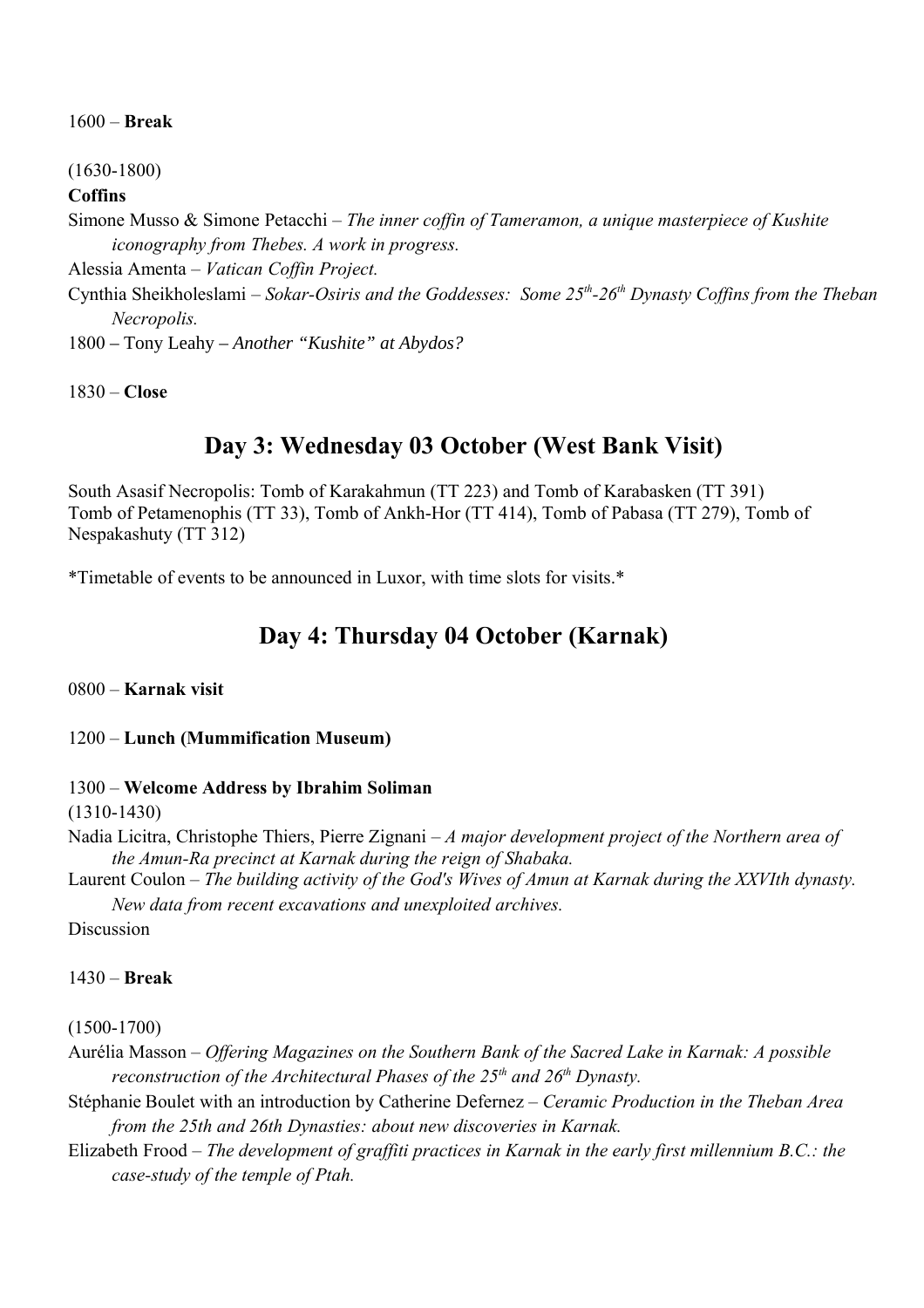1600 – **Break**

(1630-1800)

## **Coffins**

Simone Musso & Simone Petacchi – *The inner coffin of Tameramon, a unique masterpiece of Kushite iconography from Thebes. A work in progress.* Alessia Amenta – *Vatican Coffin Project.* Cynthia Sheikholeslami – *Sokar-Osiris and the Goddesses: Some 25th-26th Dynasty Coffins from the Theban Necropolis.*

1800 – Tony Leahy – *Another "Kushite" at Abydos?*

1830 – **Close**

## **Day 3: Wednesday 03 October (West Bank Visit)**

South Asasif Necropolis: Tomb of Karakahmun (TT 223) and Tomb of Karabasken (TT 391) Tomb of Petamenophis (TT 33), Tomb of Ankh-Hor (TT 414), Tomb of Pabasa (TT 279), Tomb of Nespakashuty (TT 312)

\*Timetable of events to be announced in Luxor, with time slots for visits.\*

## **Day 4: Thursday 04 October (Karnak)**

0800 – **Karnak visit**

## 1200 – **Lunch (Mummification Museum)**

## 1300 – **Welcome Address by Ibrahim Soliman**

(1310-1430)

Nadia Licitra, Christophe Thiers, Pierre Zignani – *A major development project of the Northern area of the Amun-Ra precinct at Karnak during the reign of Shabaka.*

Laurent Coulon – *The building activity of the God's Wives of Amun at Karnak during the XXVIth dynasty. New data from recent excavations and unexploited archives.*

**Discussion** 

## 1430 – **Break**

(1500-1700)

Aurélia Masson – *Offering Magazines on the Southern Bank of the Sacred Lake in Karnak: A possible reconstruction of the Architectural Phases of the 25th and 26th Dynasty.*

Stéphanie Boulet with an introduction by Catherine Defernez – *Ceramic Production in the Theban Area from the 25th and 26th Dynasties: about new discoveries in Karnak.*

Elizabeth Frood – *The development of graffiti practices in Karnak in the early first millennium B.C.: the case-study of the temple of Ptah.*